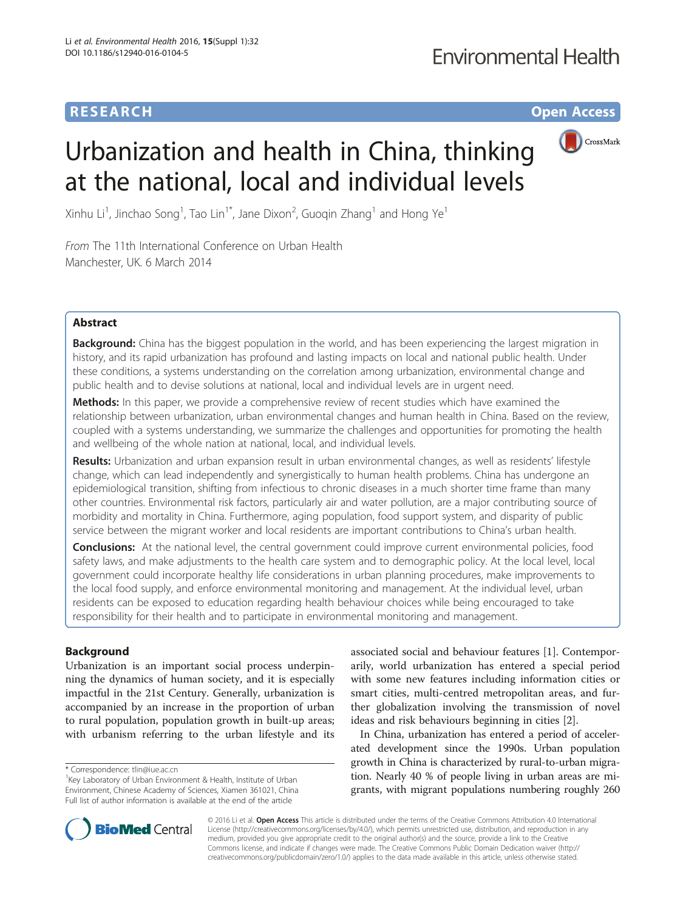# **RESEARCH CHINESE ARCH CHINESE ARCH CHINESE ARCH <b>CHINESE ARCH CHINESE ARCH CHINESE ARCH <b>CHINESE CHINESE**



# Urbanization and health in China, thinking at the national, local and individual levels

Xinhu Li<sup>1</sup>, Jinchao Song<sup>1</sup>, Tao Lin<sup>1\*</sup>, Jane Dixon<sup>2</sup>, Guoqin Zhang<sup>1</sup> and Hong Ye<sup>1</sup>

From The 11th International Conference on Urban Health Manchester, UK. 6 March 2014

# Abstract

Background: China has the biggest population in the world, and has been experiencing the largest migration in history, and its rapid urbanization has profound and lasting impacts on local and national public health. Under these conditions, a systems understanding on the correlation among urbanization, environmental change and public health and to devise solutions at national, local and individual levels are in urgent need.

Methods: In this paper, we provide a comprehensive review of recent studies which have examined the relationship between urbanization, urban environmental changes and human health in China. Based on the review, coupled with a systems understanding, we summarize the challenges and opportunities for promoting the health and wellbeing of the whole nation at national, local, and individual levels.

Results: Urbanization and urban expansion result in urban environmental changes, as well as residents' lifestyle change, which can lead independently and synergistically to human health problems. China has undergone an epidemiological transition, shifting from infectious to chronic diseases in a much shorter time frame than many other countries. Environmental risk factors, particularly air and water pollution, are a major contributing source of morbidity and mortality in China. Furthermore, aging population, food support system, and disparity of public service between the migrant worker and local residents are important contributions to China's urban health.

**Conclusions:** At the national level, the central government could improve current environmental policies, food safety laws, and make adjustments to the health care system and to demographic policy. At the local level, local government could incorporate healthy life considerations in urban planning procedures, make improvements to the local food supply, and enforce environmental monitoring and management. At the individual level, urban residents can be exposed to education regarding health behaviour choices while being encouraged to take responsibility for their health and to participate in environmental monitoring and management.

# Background

Urbanization is an important social process underpinning the dynamics of human society, and it is especially impactful in the 21st Century. Generally, urbanization is accompanied by an increase in the proportion of urban to rural population, population growth in built-up areas; with urbanism referring to the urban lifestyle and its

associated social and behaviour features [[1\]](#page-8-0). Contemporarily, world urbanization has entered a special period with some new features including information cities or smart cities, multi-centred metropolitan areas, and further globalization involving the transmission of novel ideas and risk behaviours beginning in cities [\[2\]](#page-8-0).

In China, urbanization has entered a period of accelerated development since the 1990s. Urban population growth in China is characterized by rural-to-urban migration. Nearly 40 % of people living in urban areas are migrants, with migrant populations numbering roughly 260



© 2016 Li et al. Open Access This article is distributed under the terms of the Creative Commons Attribution 4.0 International License ([http://creativecommons.org/licenses/by/4.0/\)](http://creativecommons.org/licenses/by/4.0/), which permits unrestricted use, distribution, and reproduction in any medium, provided you give appropriate credit to the original author(s) and the source, provide a link to the Creative Commons license, and indicate if changes were made. The Creative Commons Public Domain Dedication waiver ([http://](http://creativecommons.org/publicdomain/zero/1.0/) [creativecommons.org/publicdomain/zero/1.0/\)](http://creativecommons.org/publicdomain/zero/1.0/) applies to the data made available in this article, unless otherwise stated.

<sup>\*</sup> Correspondence: [tlin@iue.ac.cn](mailto:tlin@iue.ac.cn) <sup>1</sup>

 $1$ Key Laboratory of Urban Environment & Health, Institute of Urban Environment, Chinese Academy of Sciences, Xiamen 361021, China Full list of author information is available at the end of the article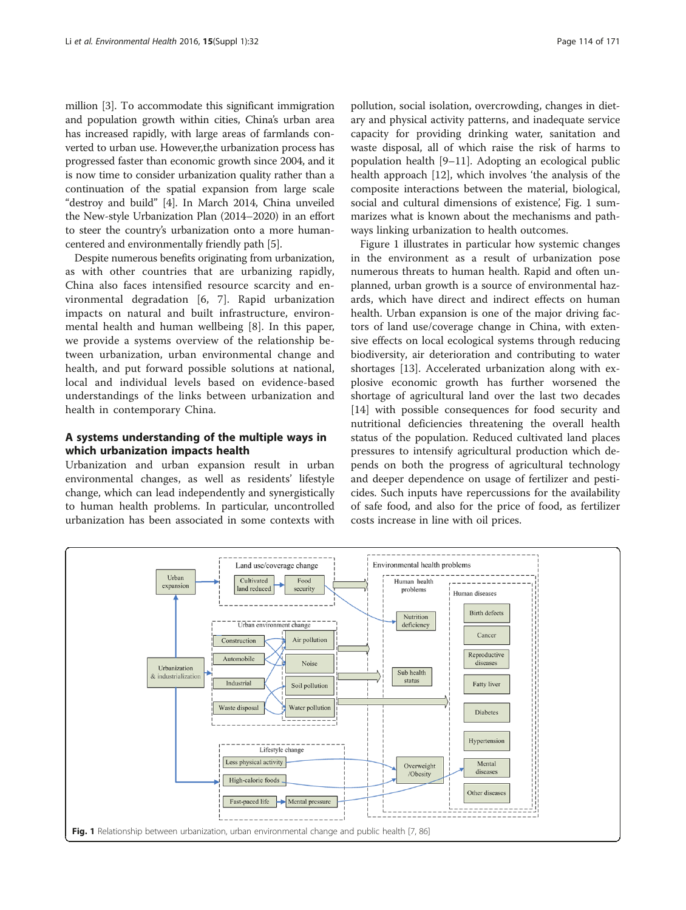million [\[3](#page-8-0)]. To accommodate this significant immigration and population growth within cities, China's urban area has increased rapidly, with large areas of farmlands converted to urban use. However,the urbanization process has progressed faster than economic growth since 2004, and it is now time to consider urbanization quality rather than a continuation of the spatial expansion from large scale "destroy and build" [\[4](#page-9-0)]. In March 2014, China unveiled the New-style Urbanization Plan (2014–2020) in an effort to steer the country's urbanization onto a more humancentered and environmentally friendly path [\[5\]](#page-9-0).

Despite numerous benefits originating from urbanization, as with other countries that are urbanizing rapidly, China also faces intensified resource scarcity and environmental degradation [\[6](#page-9-0), [7\]](#page-9-0). Rapid urbanization impacts on natural and built infrastructure, environmental health and human wellbeing [[8\]](#page-9-0). In this paper, we provide a systems overview of the relationship between urbanization, urban environmental change and health, and put forward possible solutions at national, local and individual levels based on evidence-based understandings of the links between urbanization and health in contemporary China.

# A systems understanding of the multiple ways in which urbanization impacts health

Urbanization and urban expansion result in urban environmental changes, as well as residents' lifestyle change, which can lead independently and synergistically to human health problems. In particular, uncontrolled urbanization has been associated in some contexts with

pollution, social isolation, overcrowding, changes in dietary and physical activity patterns, and inadequate service capacity for providing drinking water, sanitation and waste disposal, all of which raise the risk of harms to population health [\[9](#page-9-0)–[11](#page-9-0)]. Adopting an ecological public health approach [[12\]](#page-9-0), which involves 'the analysis of the composite interactions between the material, biological, social and cultural dimensions of existence', Fig. 1 summarizes what is known about the mechanisms and pathways linking urbanization to health outcomes.

Figure 1 illustrates in particular how systemic changes in the environment as a result of urbanization pose numerous threats to human health. Rapid and often unplanned, urban growth is a source of environmental hazards, which have direct and indirect effects on human health. Urban expansion is one of the major driving factors of land use/coverage change in China, with extensive effects on local ecological systems through reducing biodiversity, air deterioration and contributing to water shortages [\[13](#page-9-0)]. Accelerated urbanization along with explosive economic growth has further worsened the shortage of agricultural land over the last two decades [[14\]](#page-9-0) with possible consequences for food security and nutritional deficiencies threatening the overall health status of the population. Reduced cultivated land places pressures to intensify agricultural production which depends on both the progress of agricultural technology and deeper dependence on usage of fertilizer and pesticides. Such inputs have repercussions for the availability of safe food, and also for the price of food, as fertilizer costs increase in line with oil prices.

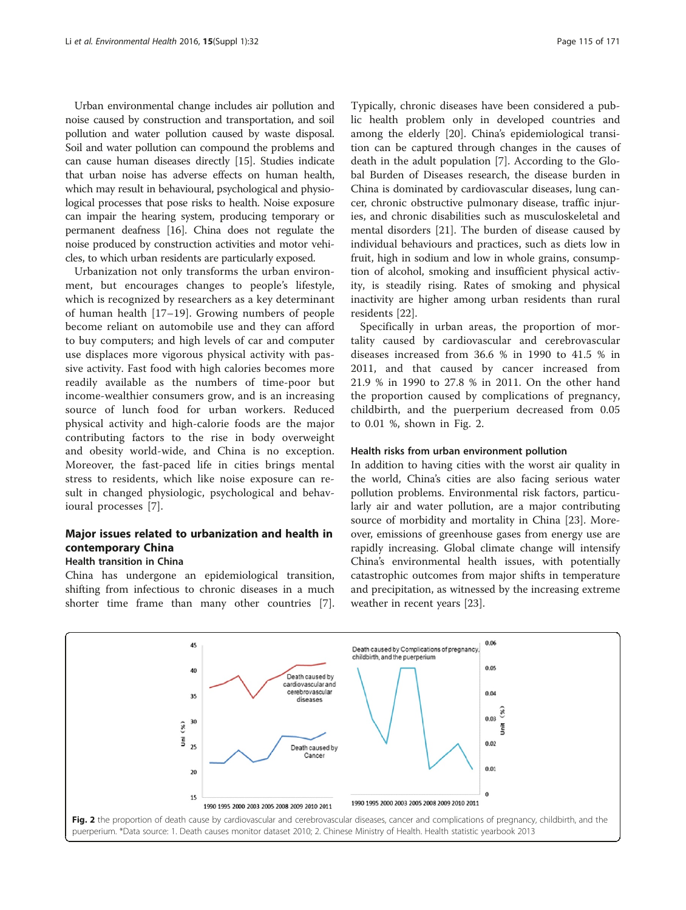Urban environmental change includes air pollution and noise caused by construction and transportation, and soil pollution and water pollution caused by waste disposal. Soil and water pollution can compound the problems and can cause human diseases directly [\[15\]](#page-9-0). Studies indicate that urban noise has adverse effects on human health, which may result in behavioural, psychological and physiological processes that pose risks to health. Noise exposure can impair the hearing system, producing temporary or permanent deafness [[16](#page-9-0)]. China does not regulate the noise produced by construction activities and motor vehicles, to which urban residents are particularly exposed.

Urbanization not only transforms the urban environment, but encourages changes to people's lifestyle, which is recognized by researchers as a key determinant of human health [[17](#page-9-0)–[19\]](#page-9-0). Growing numbers of people become reliant on automobile use and they can afford to buy computers; and high levels of car and computer use displaces more vigorous physical activity with passive activity. Fast food with high calories becomes more readily available as the numbers of time-poor but income-wealthier consumers grow, and is an increasing source of lunch food for urban workers. Reduced physical activity and high-calorie foods are the major contributing factors to the rise in body overweight and obesity world-wide, and China is no exception. Moreover, the fast-paced life in cities brings mental stress to residents, which like noise exposure can result in changed physiologic, psychological and behavioural processes [\[7](#page-9-0)].

# Major issues related to urbanization and health in contemporary China

### Health transition in China

China has undergone an epidemiological transition, shifting from infectious to chronic diseases in a much shorter time frame than many other countries [\[7](#page-9-0)].

Typically, chronic diseases have been considered a public health problem only in developed countries and among the elderly [[20\]](#page-9-0). China's epidemiological transition can be captured through changes in the causes of death in the adult population [[7\]](#page-9-0). According to the Global Burden of Diseases research, the disease burden in China is dominated by cardiovascular diseases, lung cancer, chronic obstructive pulmonary disease, traffic injuries, and chronic disabilities such as musculoskeletal and mental disorders [\[21\]](#page-9-0). The burden of disease caused by individual behaviours and practices, such as diets low in fruit, high in sodium and low in whole grains, consumption of alcohol, smoking and insufficient physical activity, is steadily rising. Rates of smoking and physical inactivity are higher among urban residents than rural residents [\[22](#page-9-0)].

Specifically in urban areas, the proportion of mortality caused by cardiovascular and cerebrovascular diseases increased from 36.6 % in 1990 to 41.5 % in 2011, and that caused by cancer increased from 21.9 % in 1990 to 27.8 % in 2011. On the other hand the proportion caused by complications of pregnancy, childbirth, and the puerperium decreased from 0.05 to 0.01 %, shown in Fig. 2.

#### Health risks from urban environment pollution

In addition to having cities with the worst air quality in the world, China's cities are also facing serious water pollution problems. Environmental risk factors, particularly air and water pollution, are a major contributing source of morbidity and mortality in China [[23\]](#page-9-0). Moreover, emissions of greenhouse gases from energy use are rapidly increasing. Global climate change will intensify China's environmental health issues, with potentially catastrophic outcomes from major shifts in temperature and precipitation, as witnessed by the increasing extreme weather in recent years [\[23\]](#page-9-0).

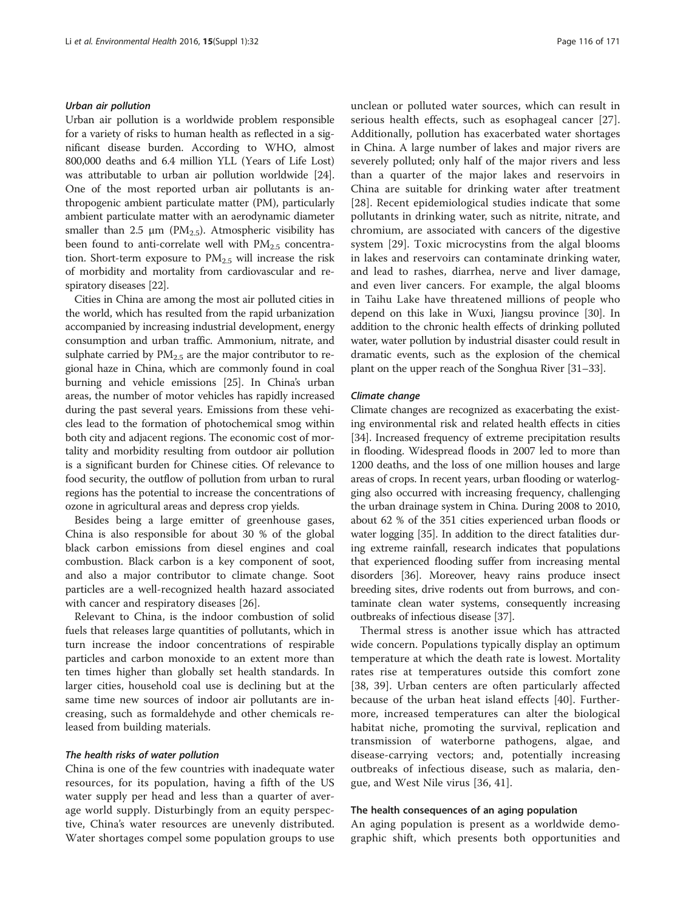Urban air pollution Urban air pollution is a worldwide problem responsible for a variety of risks to human health as reflected in a significant disease burden. According to WHO, almost 800,000 deaths and 6.4 million YLL (Years of Life Lost) was attributable to urban air pollution worldwide [[24](#page-9-0)]. One of the most reported urban air pollutants is anthropogenic ambient particulate matter (PM), particularly ambient particulate matter with an aerodynamic diameter smaller than 2.5  $\mu$ m (PM<sub>2.5</sub>). Atmospheric visibility has been found to anti-correlate well with  $PM_{2.5}$  concentration. Short-term exposure to  $PM_{2.5}$  will increase the risk of morbidity and mortality from cardiovascular and respiratory diseases [\[22\]](#page-9-0).

Cities in China are among the most air polluted cities in the world, which has resulted from the rapid urbanization accompanied by increasing industrial development, energy consumption and urban traffic. Ammonium, nitrate, and sulphate carried by  $PM_{2.5}$  are the major contributor to regional haze in China, which are commonly found in coal burning and vehicle emissions [[25](#page-9-0)]. In China's urban areas, the number of motor vehicles has rapidly increased during the past several years. Emissions from these vehicles lead to the formation of photochemical smog within both city and adjacent regions. The economic cost of mortality and morbidity resulting from outdoor air pollution is a significant burden for Chinese cities. Of relevance to food security, the outflow of pollution from urban to rural regions has the potential to increase the concentrations of ozone in agricultural areas and depress crop yields.

Besides being a large emitter of greenhouse gases, China is also responsible for about 30 % of the global black carbon emissions from diesel engines and coal combustion. Black carbon is a key component of soot, and also a major contributor to climate change. Soot particles are a well-recognized health hazard associated with cancer and respiratory diseases [[26](#page-9-0)].

Relevant to China, is the indoor combustion of solid fuels that releases large quantities of pollutants, which in turn increase the indoor concentrations of respirable particles and carbon monoxide to an extent more than ten times higher than globally set health standards. In larger cities, household coal use is declining but at the same time new sources of indoor air pollutants are increasing, such as formaldehyde and other chemicals released from building materials.

China is one of the few countries with inadequate water resources, for its population, having a fifth of the US water supply per head and less than a quarter of average world supply. Disturbingly from an equity perspective, China's water resources are unevenly distributed. Water shortages compel some population groups to use

unclean or polluted water sources, which can result in serious health effects, such as esophageal cancer [\[27](#page-9-0)]. Additionally, pollution has exacerbated water shortages in China. A large number of lakes and major rivers are severely polluted; only half of the major rivers and less than a quarter of the major lakes and reservoirs in China are suitable for drinking water after treatment [[28\]](#page-9-0). Recent epidemiological studies indicate that some pollutants in drinking water, such as nitrite, nitrate, and chromium, are associated with cancers of the digestive system [\[29](#page-9-0)]. Toxic microcystins from the algal blooms in lakes and reservoirs can contaminate drinking water, and lead to rashes, diarrhea, nerve and liver damage, and even liver cancers. For example, the algal blooms in Taihu Lake have threatened millions of people who depend on this lake in Wuxi, Jiangsu province [[30](#page-9-0)]. In addition to the chronic health effects of drinking polluted water, water pollution by industrial disaster could result in dramatic events, such as the explosion of the chemical plant on the upper reach of the Songhua River [[31](#page-9-0)–[33\]](#page-9-0).

Climate change Climate changes are recognized as exacerbating the existing environmental risk and related health effects in cities [[34](#page-9-0)]. Increased frequency of extreme precipitation results in flooding. Widespread floods in 2007 led to more than 1200 deaths, and the loss of one million houses and large areas of crops. In recent years, urban flooding or waterlogging also occurred with increasing frequency, challenging the urban drainage system in China. During 2008 to 2010, about 62 % of the 351 cities experienced urban floods or water logging [\[35](#page-9-0)]. In addition to the direct fatalities during extreme rainfall, research indicates that populations that experienced flooding suffer from increasing mental disorders [\[36\]](#page-9-0). Moreover, heavy rains produce insect breeding sites, drive rodents out from burrows, and contaminate clean water systems, consequently increasing outbreaks of infectious disease [\[37\]](#page-9-0).

Thermal stress is another issue which has attracted wide concern. Populations typically display an optimum temperature at which the death rate is lowest. Mortality rates rise at temperatures outside this comfort zone [[38, 39\]](#page-9-0). Urban centers are often particularly affected because of the urban heat island effects [\[40](#page-9-0)]. Furthermore, increased temperatures can alter the biological habitat niche, promoting the survival, replication and transmission of waterborne pathogens, algae, and disease-carrying vectors; and, potentially increasing outbreaks of infectious disease, such as malaria, dengue, and West Nile virus [\[36](#page-9-0), [41](#page-9-0)].

### The health consequences of an aging population

An aging population is present as a worldwide demographic shift, which presents both opportunities and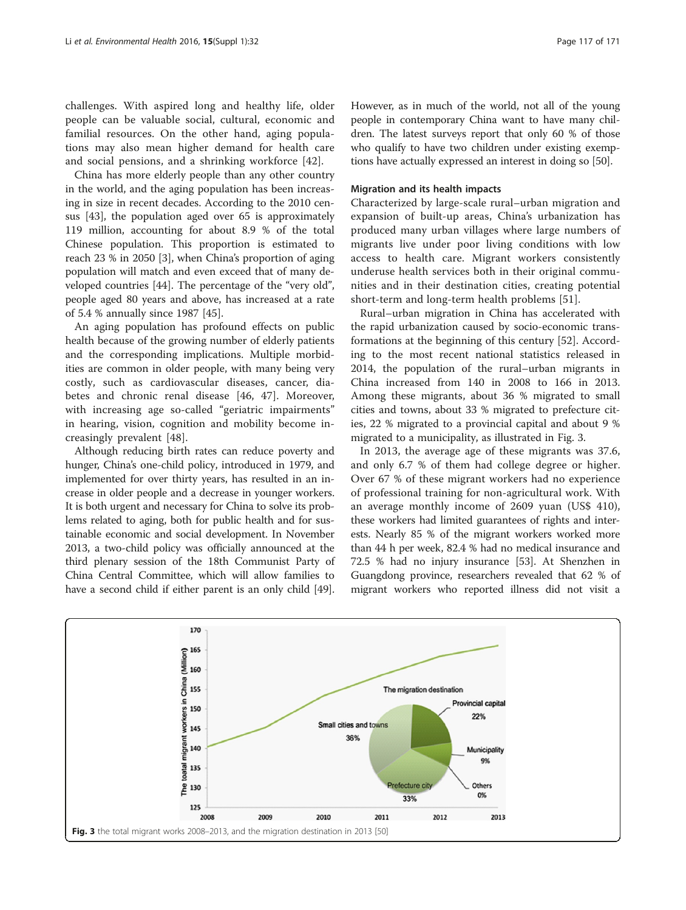challenges. With aspired long and healthy life, older people can be valuable social, cultural, economic and familial resources. On the other hand, aging populations may also mean higher demand for health care and social pensions, and a shrinking workforce [[42\]](#page-9-0).

China has more elderly people than any other country in the world, and the aging population has been increasing in size in recent decades. According to the 2010 census [\[43](#page-9-0)], the population aged over 65 is approximately 119 million, accounting for about 8.9 % of the total Chinese population. This proportion is estimated to reach 23 % in 2050 [[3\]](#page-8-0), when China's proportion of aging population will match and even exceed that of many developed countries [[44](#page-9-0)]. The percentage of the "very old", people aged 80 years and above, has increased at a rate of 5.4 % annually since 1987 [[45\]](#page-9-0).

An aging population has profound effects on public health because of the growing number of elderly patients and the corresponding implications. Multiple morbidities are common in older people, with many being very costly, such as cardiovascular diseases, cancer, diabetes and chronic renal disease [[46, 47\]](#page-9-0). Moreover, with increasing age so-called "geriatric impairments" in hearing, vision, cognition and mobility become increasingly prevalent [[48\]](#page-9-0).

Although reducing birth rates can reduce poverty and hunger, China's one-child policy, introduced in 1979, and implemented for over thirty years, has resulted in an increase in older people and a decrease in younger workers. It is both urgent and necessary for China to solve its problems related to aging, both for public health and for sustainable economic and social development. In November 2013, a two-child policy was officially announced at the third plenary session of the 18th Communist Party of China Central Committee, which will allow families to have a second child if either parent is an only child [[49](#page-9-0)]. However, as in much of the world, not all of the young people in contemporary China want to have many children. The latest surveys report that only 60 % of those who qualify to have two children under existing exemptions have actually expressed an interest in doing so [\[50\]](#page-9-0).

## Migration and its health impacts

Characterized by large-scale rural–urban migration and expansion of built-up areas, China's urbanization has produced many urban villages where large numbers of migrants live under poor living conditions with low access to health care. Migrant workers consistently underuse health services both in their original communities and in their destination cities, creating potential short-term and long-term health problems [[51\]](#page-9-0).

Rural–urban migration in China has accelerated with the rapid urbanization caused by socio-economic transformations at the beginning of this century [\[52](#page-9-0)]. According to the most recent national statistics released in 2014, the population of the rural–urban migrants in China increased from 140 in 2008 to 166 in 2013. Among these migrants, about 36 % migrated to small cities and towns, about 33 % migrated to prefecture cities, 22 % migrated to a provincial capital and about 9 % migrated to a municipality, as illustrated in Fig. 3.

In 2013, the average age of these migrants was 37.6, and only 6.7 % of them had college degree or higher. Over 67 % of these migrant workers had no experience of professional training for non-agricultural work. With an average monthly income of 2609 yuan (US\$ 410), these workers had limited guarantees of rights and interests. Nearly 85 % of the migrant workers worked more than 44 h per week, 82.4 % had no medical insurance and 72.5 % had no injury insurance [[53](#page-9-0)]. At Shenzhen in Guangdong province, researchers revealed that 62 % of migrant workers who reported illness did not visit a

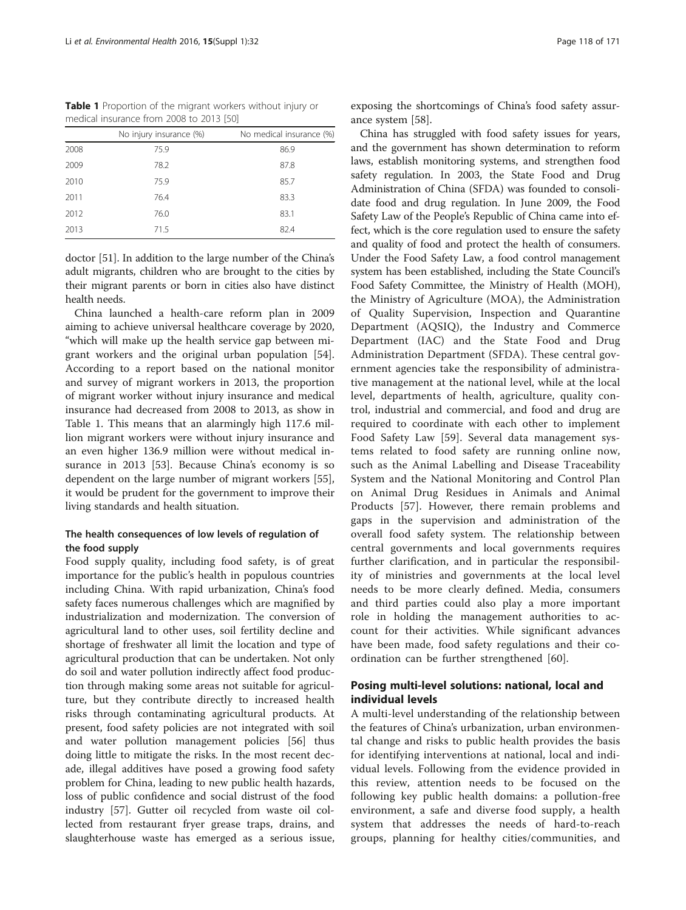Table 1 Proportion of the migrant workers without injury or medical insurance from 2008 to 2013 [[50](#page-9-0)]

|      | No injury insurance (%) | No medical insurance (%) |
|------|-------------------------|--------------------------|
| 2008 | 75.9                    | 86.9                     |
| 2009 | 78.2                    | 87.8                     |
| 2010 | 75.9                    | 85.7                     |
| 2011 | 76.4                    | 83.3                     |
| 2012 | 76.0                    | 83.1                     |
| 2013 | 71.5                    | 82.4                     |

doctor [[51](#page-9-0)]. In addition to the large number of the China's adult migrants, children who are brought to the cities by their migrant parents or born in cities also have distinct health needs.

China launched a health-care reform plan in 2009 aiming to achieve universal healthcare coverage by 2020, "which will make up the health service gap between migrant workers and the original urban population [\[54](#page-9-0)]. According to a report based on the national monitor and survey of migrant workers in 2013, the proportion of migrant worker without injury insurance and medical insurance had decreased from 2008 to 2013, as show in Table 1. This means that an alarmingly high 117.6 million migrant workers were without injury insurance and an even higher 136.9 million were without medical insurance in 2013 [[53\]](#page-9-0). Because China's economy is so dependent on the large number of migrant workers [\[55](#page-9-0)], it would be prudent for the government to improve their living standards and health situation.

# The health consequences of low levels of regulation of the food supply

Food supply quality, including food safety, is of great importance for the public's health in populous countries including China. With rapid urbanization, China's food safety faces numerous challenges which are magnified by industrialization and modernization. The conversion of agricultural land to other uses, soil fertility decline and shortage of freshwater all limit the location and type of agricultural production that can be undertaken. Not only do soil and water pollution indirectly affect food production through making some areas not suitable for agriculture, but they contribute directly to increased health risks through contaminating agricultural products. At present, food safety policies are not integrated with soil and water pollution management policies [[56\]](#page-9-0) thus doing little to mitigate the risks. In the most recent decade, illegal additives have posed a growing food safety problem for China, leading to new public health hazards, loss of public confidence and social distrust of the food industry [[57\]](#page-9-0). Gutter oil recycled from waste oil collected from restaurant fryer grease traps, drains, and slaughterhouse waste has emerged as a serious issue,

exposing the shortcomings of China's food safety assurance system [\[58\]](#page-9-0).

China has struggled with food safety issues for years, and the government has shown determination to reform laws, establish monitoring systems, and strengthen food safety regulation. In 2003, the State Food and Drug Administration of China (SFDA) was founded to consolidate food and drug regulation. In June 2009, the Food Safety Law of the People's Republic of China came into effect, which is the core regulation used to ensure the safety and quality of food and protect the health of consumers. Under the Food Safety Law, a food control management system has been established, including the State Council's Food Safety Committee, the Ministry of Health (MOH), the Ministry of Agriculture (MOA), the Administration of Quality Supervision, Inspection and Quarantine Department (AQSIQ), the Industry and Commerce Department (IAC) and the State Food and Drug Administration Department (SFDA). These central government agencies take the responsibility of administrative management at the national level, while at the local level, departments of health, agriculture, quality control, industrial and commercial, and food and drug are required to coordinate with each other to implement Food Safety Law [[59](#page-10-0)]. Several data management systems related to food safety are running online now, such as the Animal Labelling and Disease Traceability System and the National Monitoring and Control Plan on Animal Drug Residues in Animals and Animal Products [[57\]](#page-9-0). However, there remain problems and gaps in the supervision and administration of the overall food safety system. The relationship between central governments and local governments requires further clarification, and in particular the responsibility of ministries and governments at the local level needs to be more clearly defined. Media, consumers and third parties could also play a more important role in holding the management authorities to account for their activities. While significant advances have been made, food safety regulations and their coordination can be further strengthened [\[60\]](#page-10-0).

# Posing multi-level solutions: national, local and individual levels

A multi-level understanding of the relationship between the features of China's urbanization, urban environmental change and risks to public health provides the basis for identifying interventions at national, local and individual levels. Following from the evidence provided in this review, attention needs to be focused on the following key public health domains: a pollution-free environment, a safe and diverse food supply, a health system that addresses the needs of hard-to-reach groups, planning for healthy cities/communities, and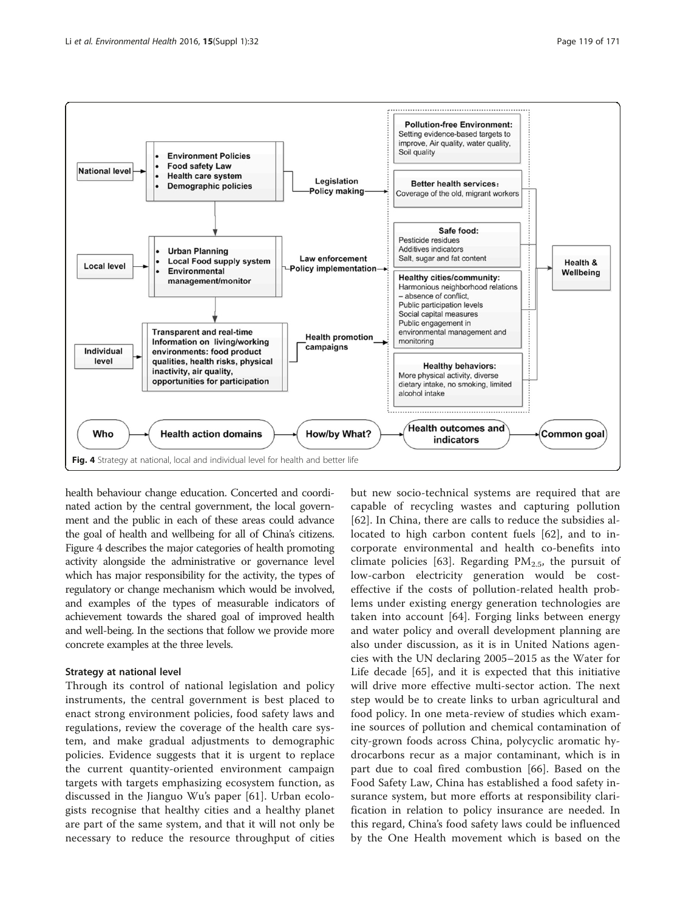



health behaviour change education. Concerted and coordinated action by the central government, the local government and the public in each of these areas could advance the goal of health and wellbeing for all of China's citizens. Figure 4 describes the major categories of health promoting activity alongside the administrative or governance level which has major responsibility for the activity, the types of regulatory or change mechanism which would be involved, and examples of the types of measurable indicators of achievement towards the shared goal of improved health and well-being. In the sections that follow we provide more concrete examples at the three levels.

### Strategy at national level

Through its control of national legislation and policy instruments, the central government is best placed to enact strong environment policies, food safety laws and regulations, review the coverage of the health care system, and make gradual adjustments to demographic policies. Evidence suggests that it is urgent to replace the current quantity-oriented environment campaign targets with targets emphasizing ecosystem function, as discussed in the Jianguo Wu's paper [\[61](#page-10-0)]. Urban ecologists recognise that healthy cities and a healthy planet are part of the same system, and that it will not only be necessary to reduce the resource throughput of cities

but new socio-technical systems are required that are capable of recycling wastes and capturing pollution [[62\]](#page-10-0). In China, there are calls to reduce the subsidies allocated to high carbon content fuels [\[62](#page-10-0)], and to incorporate environmental and health co-benefits into climate policies [\[63](#page-10-0)]. Regarding  $PM_{2.5}$ , the pursuit of low-carbon electricity generation would be costeffective if the costs of pollution-related health problems under existing energy generation technologies are taken into account [[64\]](#page-10-0). Forging links between energy and water policy and overall development planning are also under discussion, as it is in United Nations agencies with the UN declaring 2005–2015 as the Water for Life decade [[65\]](#page-10-0), and it is expected that this initiative will drive more effective multi-sector action. The next step would be to create links to urban agricultural and food policy. In one meta-review of studies which examine sources of pollution and chemical contamination of city-grown foods across China, polycyclic aromatic hydrocarbons recur as a major contaminant, which is in part due to coal fired combustion [\[66](#page-10-0)]. Based on the Food Safety Law, China has established a food safety insurance system, but more efforts at responsibility clarification in relation to policy insurance are needed. In this regard, China's food safety laws could be influenced by the One Health movement which is based on the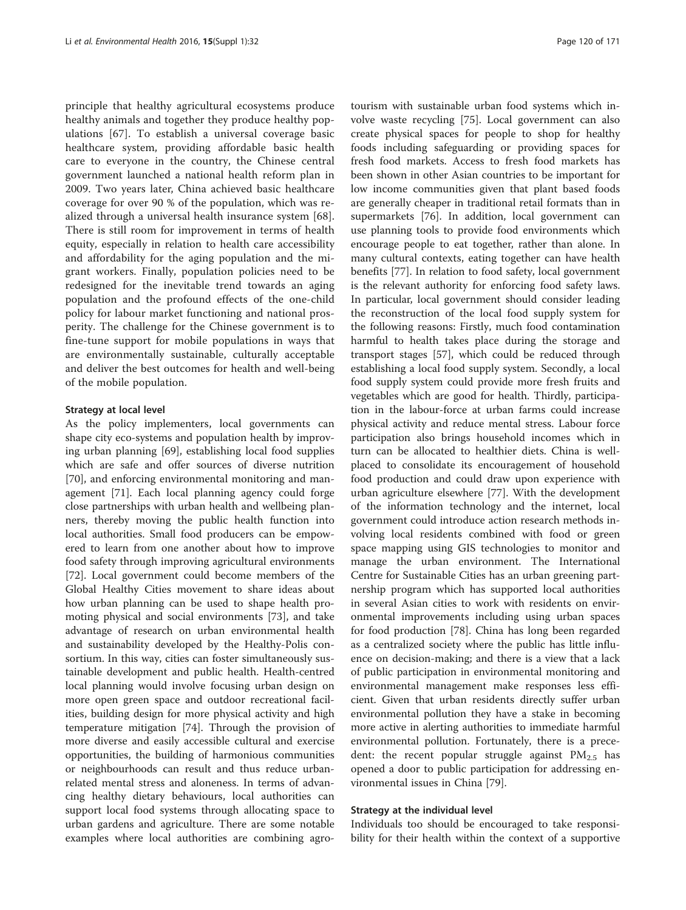principle that healthy agricultural ecosystems produce healthy animals and together they produce healthy populations [[67](#page-10-0)]. To establish a universal coverage basic healthcare system, providing affordable basic health care to everyone in the country, the Chinese central government launched a national health reform plan in 2009. Two years later, China achieved basic healthcare coverage for over 90 % of the population, which was realized through a universal health insurance system [\[68](#page-10-0)]. There is still room for improvement in terms of health equity, especially in relation to health care accessibility and affordability for the aging population and the migrant workers. Finally, population policies need to be redesigned for the inevitable trend towards an aging population and the profound effects of the one-child policy for labour market functioning and national prosperity. The challenge for the Chinese government is to fine-tune support for mobile populations in ways that are environmentally sustainable, culturally acceptable and deliver the best outcomes for health and well-being of the mobile population.

### Strategy at local level

As the policy implementers, local governments can shape city eco-systems and population health by improving urban planning [\[69\]](#page-10-0), establishing local food supplies which are safe and offer sources of diverse nutrition [[70\]](#page-10-0), and enforcing environmental monitoring and management [[71](#page-10-0)]. Each local planning agency could forge close partnerships with urban health and wellbeing planners, thereby moving the public health function into local authorities. Small food producers can be empowered to learn from one another about how to improve food safety through improving agricultural environments [[72\]](#page-10-0). Local government could become members of the Global Healthy Cities movement to share ideas about how urban planning can be used to shape health promoting physical and social environments [[73](#page-10-0)], and take advantage of research on urban environmental health and sustainability developed by the Healthy-Polis consortium. In this way, cities can foster simultaneously sustainable development and public health. Health-centred local planning would involve focusing urban design on more open green space and outdoor recreational facilities, building design for more physical activity and high temperature mitigation [\[74](#page-10-0)]. Through the provision of more diverse and easily accessible cultural and exercise opportunities, the building of harmonious communities or neighbourhoods can result and thus reduce urbanrelated mental stress and aloneness. In terms of advancing healthy dietary behaviours, local authorities can support local food systems through allocating space to urban gardens and agriculture. There are some notable examples where local authorities are combining agro-

tourism with sustainable urban food systems which involve waste recycling [[75\]](#page-10-0). Local government can also create physical spaces for people to shop for healthy foods including safeguarding or providing spaces for fresh food markets. Access to fresh food markets has been shown in other Asian countries to be important for low income communities given that plant based foods are generally cheaper in traditional retail formats than in supermarkets [[76](#page-10-0)]. In addition, local government can use planning tools to provide food environments which encourage people to eat together, rather than alone. In many cultural contexts, eating together can have health benefits [[77\]](#page-10-0). In relation to food safety, local government is the relevant authority for enforcing food safety laws. In particular, local government should consider leading the reconstruction of the local food supply system for the following reasons: Firstly, much food contamination harmful to health takes place during the storage and transport stages [[57\]](#page-9-0), which could be reduced through establishing a local food supply system. Secondly, a local food supply system could provide more fresh fruits and vegetables which are good for health. Thirdly, participation in the labour-force at urban farms could increase physical activity and reduce mental stress. Labour force participation also brings household incomes which in turn can be allocated to healthier diets. China is wellplaced to consolidate its encouragement of household food production and could draw upon experience with urban agriculture elsewhere [\[77](#page-10-0)]. With the development of the information technology and the internet, local government could introduce action research methods involving local residents combined with food or green space mapping using GIS technologies to monitor and manage the urban environment. The International Centre for Sustainable Cities has an urban greening partnership program which has supported local authorities in several Asian cities to work with residents on environmental improvements including using urban spaces for food production [\[78\]](#page-10-0). China has long been regarded as a centralized society where the public has little influence on decision-making; and there is a view that a lack of public participation in environmental monitoring and environmental management make responses less efficient. Given that urban residents directly suffer urban environmental pollution they have a stake in becoming more active in alerting authorities to immediate harmful environmental pollution. Fortunately, there is a precedent: the recent popular struggle against  $PM_{2.5}$  has opened a door to public participation for addressing environmental issues in China [[79\]](#page-10-0).

### Strategy at the individual level

Individuals too should be encouraged to take responsibility for their health within the context of a supportive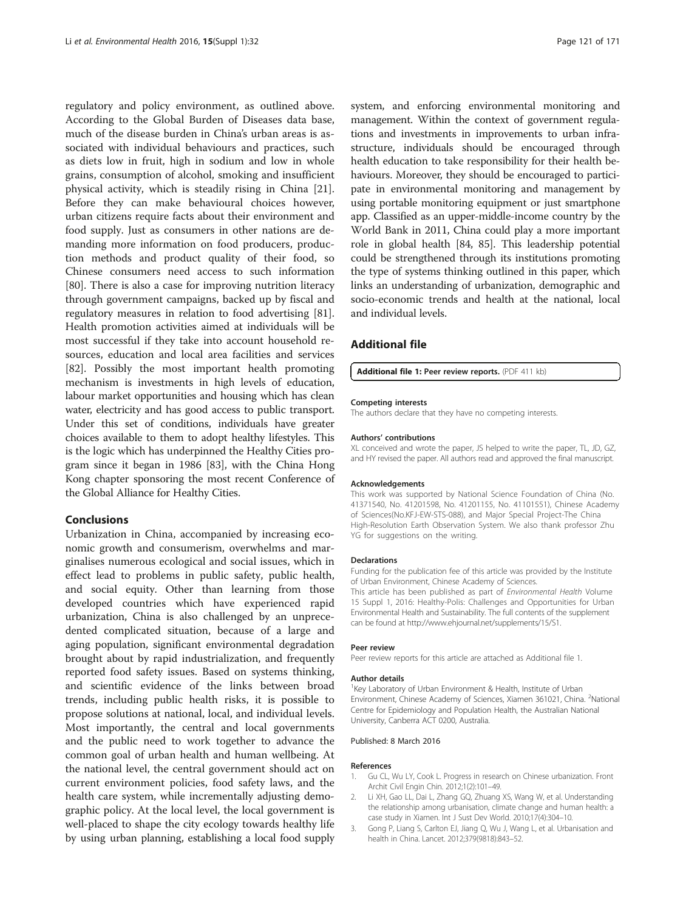<span id="page-8-0"></span>regulatory and policy environment, as outlined above. According to the Global Burden of Diseases data base, much of the disease burden in China's urban areas is associated with individual behaviours and practices, such as diets low in fruit, high in sodium and low in whole grains, consumption of alcohol, smoking and insufficient physical activity, which is steadily rising in China [\[21](#page-9-0)]. Before they can make behavioural choices however, urban citizens require facts about their environment and food supply. Just as consumers in other nations are demanding more information on food producers, production methods and product quality of their food, so Chinese consumers need access to such information [[80\]](#page-10-0). There is also a case for improving nutrition literacy through government campaigns, backed up by fiscal and regulatory measures in relation to food advertising [\[81](#page-10-0)]. Health promotion activities aimed at individuals will be most successful if they take into account household resources, education and local area facilities and services [[82\]](#page-10-0). Possibly the most important health promoting mechanism is investments in high levels of education, labour market opportunities and housing which has clean water, electricity and has good access to public transport. Under this set of conditions, individuals have greater choices available to them to adopt healthy lifestyles. This is the logic which has underpinned the Healthy Cities program since it began in 1986 [\[83\]](#page-10-0), with the China Hong Kong chapter sponsoring the most recent Conference of the Global Alliance for Healthy Cities.

# Conclusions

Urbanization in China, accompanied by increasing economic growth and consumerism, overwhelms and marginalises numerous ecological and social issues, which in effect lead to problems in public safety, public health, and social equity. Other than learning from those developed countries which have experienced rapid urbanization, China is also challenged by an unprecedented complicated situation, because of a large and aging population, significant environmental degradation brought about by rapid industrialization, and frequently reported food safety issues. Based on systems thinking, and scientific evidence of the links between broad trends, including public health risks, it is possible to propose solutions at national, local, and individual levels. Most importantly, the central and local governments and the public need to work together to advance the common goal of urban health and human wellbeing. At the national level, the central government should act on current environment policies, food safety laws, and the health care system, while incrementally adjusting demographic policy. At the local level, the local government is well-placed to shape the city ecology towards healthy life by using urban planning, establishing a local food supply

system, and enforcing environmental monitoring and management. Within the context of government regulations and investments in improvements to urban infrastructure, individuals should be encouraged through health education to take responsibility for their health behaviours. Moreover, they should be encouraged to participate in environmental monitoring and management by using portable monitoring equipment or just smartphone app. Classified as an upper-middle-income country by the World Bank in 2011, China could play a more important role in global health [\[84, 85](#page-10-0)]. This leadership potential could be strengthened through its institutions promoting the type of systems thinking outlined in this paper, which links an understanding of urbanization, demographic and socio-economic trends and health at the national, local and individual levels.

# Additional file

#### [Additional file 1:](dx.doi.org/10.1186/s12940-016-0104-5) Peer review reports. (PDF 411 kb)

#### Competing interests

The authors declare that they have no competing interests.

#### Authors' contributions

XL conceived and wrote the paper, JS helped to write the paper, TL, JD, GZ, and HY revised the paper. All authors read and approved the final manuscript.

#### Acknowledgements

This work was supported by National Science Foundation of China (No. 41371540, No. 41201598, No. 41201155, No. 41101551), Chinese Academy of Sciences(No.KFJ-EW-STS-088), and Major Special Project-The China High-Resolution Earth Observation System. We also thank professor Zhu YG for suggestions on the writing.

#### Declarations

Funding for the publication fee of this article was provided by the Institute of Urban Environment, Chinese Academy of Sciences.

This article has been published as part of Environmental Health Volume 15 Suppl 1, 2016: Healthy-Polis: Challenges and Opportunities for Urban Environmental Health and Sustainability. The full contents of the supplement can be found at<http://www.ehjournal.net/supplements/15/S1>.

#### Peer review

Peer review reports for this article are attached as Additional file 1.

#### Author details

<sup>1</sup> Key Laboratory of Urban Environment & Health, Institute of Urban Environment, Chinese Academy of Sciences, Xiamen 361021, China. <sup>2</sup>National Centre for Epidemiology and Population Health, the Australian National University, Canberra ACT 0200, Australia.

#### Published: 8 March 2016

#### References

- 1. Gu CL, Wu LY, Cook L. Progress in research on Chinese urbanization. Front Archit Civil Engin Chin. 2012;1(2):101–49.
- 2. Li XH, Gao LL, Dai L, Zhang GQ, Zhuang XS, Wang W, et al. Understanding the relationship among urbanisation, climate change and human health: a case study in Xiamen. Int J Sust Dev World. 2010;17(4):304–10.
- 3. Gong P, Liang S, Carlton EJ, Jiang Q, Wu J, Wang L, et al. Urbanisation and health in China. Lancet. 2012;379(9818):843–52.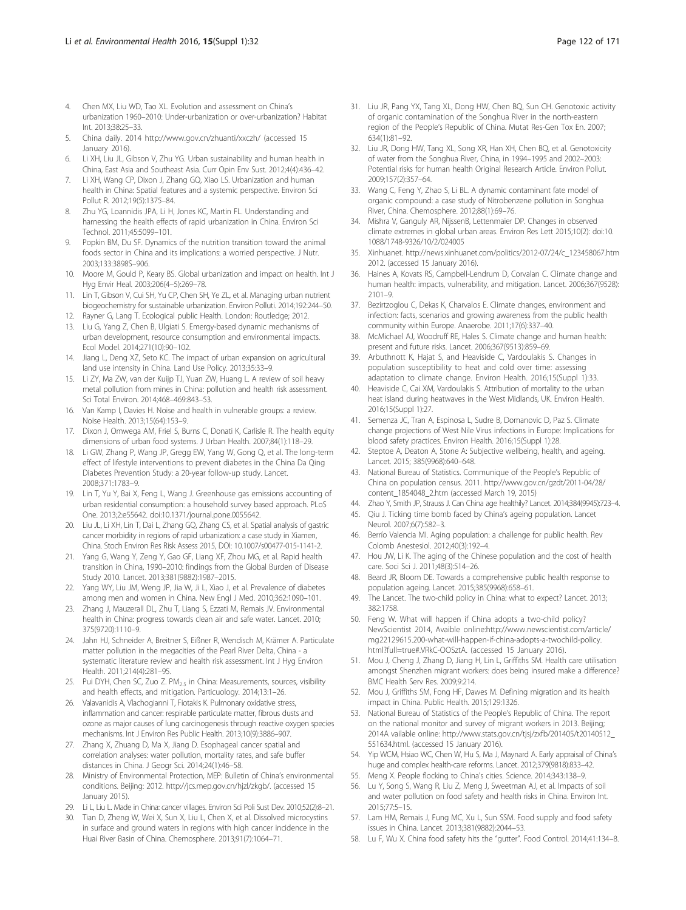- <span id="page-9-0"></span>4. Chen MX, Liu WD, Tao XL. Evolution and assessment on China's urbanization 1960–2010: Under-urbanization or over-urbanization? Habitat Int. 2013;38:25–33.
- 5. China daily. 2014<http://www.gov.cn/zhuanti/xxczh/> (accessed 15 January 2016).
- 6. Li XH, Liu JL, Gibson V, Zhu YG. Urban sustainability and human health in China, East Asia and Southeast Asia. Curr Opin Env Sust. 2012;4(4):436–42.
- 7. Li XH, Wang CP, Dixon J, Zhang GQ, Xiao LS. Urbanization and human health in China: Spatial features and a systemic perspective. Environ Sci Pollut R. 2012;19(5):1375–84.
- Zhu YG, Loannidis JPA, Li H, Jones KC, Martin FL. Understanding and harnessing the health effects of rapid urbanization in China. Environ Sci Technol. 2011;45:5099–101.
- 9. Popkin BM, Du SF. Dynamics of the nutrition transition toward the animal foods sector in China and its implications: a worried perspective. J Nutr. 2003;133:3898S–906.
- 10. Moore M, Gould P, Keary BS. Global urbanization and impact on health. Int J Hyg Envir Heal. 2003;206(4–5):269–78.
- 11. Lin T, Gibson V, Cui SH, Yu CP, Chen SH, Ye ZL, et al. Managing urban nutrient biogeochemistry for sustainable urbanization. Environ Polluti. 2014;192:244–50.
- 12. Rayner G, Lang T. Ecological public Health. London: Routledge; 2012. 13. Liu G, Yang Z, Chen B, Ulgiati S. Emergy-based dynamic mechanisms of urban development, resource consumption and environmental impacts.
- Ecol Model. 2014;271(10):90–102. 14. Jiang L, Deng XZ, Seto KC. The impact of urban expansion on agricultural land use intensity in China. Land Use Policy. 2013;35:33–9.
- 15. Li ZY, Ma ZW, van der Kuijp TJ, Yuan ZW, Huang L. A review of soil heavy metal pollution from mines in China: pollution and health risk assessment. Sci Total Environ. 2014;468–469:843–53.
- 16. Van Kamp I, Davies H. Noise and health in vulnerable groups: a review. Noise Health. 2013;15(64):153–9.
- 17. Dixon J, Omwega AM, Friel S, Burns C, Donati K, Carlisle R. The health equity dimensions of urban food systems. J Urban Health. 2007;84(1):118–29.
- 18. Li GW, Zhang P, Wang JP, Gregg EW, Yang W, Gong Q, et al. The long-term effect of lifestyle interventions to prevent diabetes in the China Da Qing Diabetes Prevention Study: a 20-year follow-up study. Lancet. 2008;371:1783–9.
- 19. Lin T, Yu Y, Bai X, Feng L, Wang J. Greenhouse gas emissions accounting of urban residential consumption: a household survey based approach. PLoS One. 2013;2:e55642. doi[:10.1371/journal.pone.0055642](http://dx.doi.org/10.1371/journal.pone.0055642).
- 20. Liu JL, Li XH, Lin T, Dai L, Zhang GQ, Zhang CS, et al. Spatial analysis of gastric cancer morbidity in regions of rapid urbanization: a case study in Xiamen, China. Stoch Environ Res Risk Assess 2015, DOI: [10.1007/s00477-015-1141-2](http://dx.doi.org/10.1007/s00477-015-1141-2).
- 21. Yang G, Wang Y, Zeng Y, Gao GF, Liang XF, Zhou MG, et al. Rapid health transition in China, 1990–2010: findings from the Global Burden of Disease Study 2010. Lancet. 2013;381(9882):1987–2015.
- 22. Yang WY, Liu JM, Weng JP, Jia W, Ji L, Xiao J, et al. Prevalence of diabetes among men and women in China. New Engl J Med. 2010;362:1090–101.
- 23. Zhang J, Mauzerall DL, Zhu T, Liang S, Ezzati M, Remais JV. Environmental health in China: progress towards clean air and safe water. Lancet. 2010; 375(9720):1110–9.
- 24. Jahn HJ, Schneider A, Breitner S, Eißner R, Wendisch M, Krämer A. Particulate matter pollution in the megacities of the Pearl River Delta, China - a systematic literature review and health risk assessment. Int J Hyg Environ Health. 2011;214(4):281–95.
- 25. Pui DYH, Chen SC, Zuo Z. PM<sub>2.5</sub> in China: Measurements, sources, visibility and health effects, and mitigation. Particuology. 2014;13:1–26.
- 26. Valavanidis A, Vlachogianni T, Fiotakis K. Pulmonary oxidative stress, inflammation and cancer: respirable particulate matter, fibrous dusts and ozone as major causes of lung carcinogenesis through reactive oxygen species mechanisms. Int J Environ Res Public Health. 2013;10(9):3886–907.
- 27. Zhang X, Zhuang D, Ma X, Jiang D. Esophageal cancer spatial and correlation analyses: water pollution, mortality rates, and safe buffer distances in China. J Geogr Sci. 2014;24(1):46–58.
- 28. Ministry of Environmental Protection, MEP: Bulletin of China's environmental conditions. Beijing: 2012.<http://jcs.mep.gov.cn/hjzl/zkgb/>. (accessed 15 January 2015).
- 29. Li L, Liu L. Made in China: cancer villages. Environ Sci Poli Sust Dev. 2010;52(2):8–21.
- 30. Tian D, Zheng W, Wei X, Sun X, Liu L, Chen X, et al. Dissolved microcystins in surface and ground waters in regions with high cancer incidence in the Huai River Basin of China. Chemosphere. 2013;91(7):1064–71.
- 31. Liu JR, Pang YX, Tang XL, Dong HW, Chen BQ, Sun CH. Genotoxic activity of organic contamination of the Songhua River in the north-eastern region of the People's Republic of China. Mutat Res-Gen Tox En. 2007; 634(1):81–92.
- 32. Liu JR, Dong HW, Tang XL, Song XR, Han XH, Chen BQ, et al. Genotoxicity of water from the Songhua River, China, in 1994–1995 and 2002–2003: Potential risks for human health Original Research Article. Environ Pollut. 2009;157(2):357–64.
- 33. Wang C, Feng Y, Zhao S, Li BL. A dynamic contaminant fate model of organic compound: a case study of Nitrobenzene pollution in Songhua River, China. Chemosphere. 2012;88(1):69–76.
- 34. Mishra V, Ganguly AR, NijssenB, Lettenmaier DP. Changes in observed climate extremes in global urban areas. Environ Res Lett 2015;10(2): doi:10. 1088/1748-9326/10/2/024005
- 35. Xinhuanet. [http://news.xinhuanet.com/politics/2012-07/24/c\\_123458067.htm](http://news.xinhuanet.com/politics/2012-07/24/c_123458067.htm) 2012. (accessed 15 January 2016).
- 36. Haines A, Kovats RS, Campbell-Lendrum D, Corvalan C. Climate change and human health: impacts, vulnerability, and mitigation. Lancet. 2006;367(9528): 2101–9.
- 37. Bezirtzoglou C, Dekas K, Charvalos E. Climate changes, environment and infection: facts, scenarios and growing awareness from the public health community within Europe. Anaerobe. 2011;17(6):337–40.
- 38. McMichael AJ, Woodruff RE, Hales S. Climate change and human health: present and future risks. Lancet. 2006;367(9513):859–69.
- Arbuthnott K, Hajat S, and Heaviside C, Vardoulakis S. Changes in population susceptibility to heat and cold over time: assessing adaptation to climate change. Environ Health. 2016;15(Suppl 1):33.
- 40. Heaviside C, Cai XM, Vardoulakis S. Attribution of mortality to the urban heat island during heatwaves in the West Midlands, UK. Environ Health. 2016;15(Suppl 1):27.
- 41. Semenza JC, Tran A, Espinosa L, Sudre B, Domanovic D, Paz S. Climate change projections of West Nile Virus infections in Europe: Implications for blood safety practices. Environ Health. 2016;15(Suppl 1):28.
- 42. Steptoe A, Deaton A, Stone A: Subjective wellbeing, health, and ageing. Lancet. 2015; 385(9968):640–648.
- 43. National Bureau of Statistics. Communique of the People's Republic of China on population census. 2011. [http://www.gov.cn/gzdt/2011-04/28/](http://www.gov.cn/gzdt/2011-04/28/content_1854048_2.htm) [content\\_1854048\\_2.htm](http://www.gov.cn/gzdt/2011-04/28/content_1854048_2.htm) (accessed March 19, 2015)
- 44. Zhao Y, Smith JP, Strauss J. Can China age healthily? Lancet. 2014;384(9945):723–4.
- 45. Qiu J. Ticking time bomb faced by China's ageing population. Lancet Neurol. 2007;6(7):582–3.
- 46. Berrío Valencia MI. Aging population: a challenge for public health. Rev Colomb Anestesiol. 2012;40(3):192–4.
- 47. Hou JW, Li K. The aging of the Chinese population and the cost of health care. Soci Sci J. 2011;48(3):514–26.
- Beard JR, Bloom DE. Towards a comprehensive public health response to population ageing. Lancet. 2015;385(9968):658–61.
- 49. The Lancet. The two-child policy in China: what to expect? Lancet. 2013; 382:1758.
- 50. Feng W. What will happen if China adopts a two-child policy? NewScientist 2014, Avaible online[:http://www.newscientist.com/article/](http://www.newscientist.com/article/mg22129615.200-what-will-happen-if-china-adopts-a-twochild-policy.html?full=true#.VRkC-OOSztA) [mg22129615.200-what-will-happen-if-china-adopts-a-twochild-policy.](http://www.newscientist.com/article/mg22129615.200-what-will-happen-if-china-adopts-a-twochild-policy.html?full=true#.VRkC-OOSztA) [html?full=true#.VRkC-OOSztA.](http://www.newscientist.com/article/mg22129615.200-what-will-happen-if-china-adopts-a-twochild-policy.html?full=true#.VRkC-OOSztA) (accessed 15 January 2016).
- 51. Mou J, Cheng J, Zhang D, Jiang H, Lin L, Griffiths SM. Health care utilisation amongst Shenzhen migrant workers: does being insured make a difference? BMC Health Serv Res. 2009;9:214.
- 52. Mou J, Griffiths SM, Fong HF, Dawes M. Defining migration and its health impact in China. Public Health. 2015;129:1326.
- 53. National Bureau of Statistics of the People's Republic of China. The report on the national monitor and survey of migrant workers in 2013. Beijing; 2014A vailable online: [http://www.stats.gov.cn/tjsj/zxfb/201405/t20140512\\_](http://www.stats.gov.cn/tjsj/zxfb/201405/t20140512_551634.html) [551634.html.](http://www.stats.gov.cn/tjsj/zxfb/201405/t20140512_551634.html) (accessed 15 January 2016).
- 54. Yip WCM, Hsiao WC, Chen W, Hu S, Ma J, Maynard A. Early appraisal of China's huge and complex health-care reforms. Lancet. 2012;379(9818):833–42.
- 55. Meng X. People flocking to China's cities. Science. 2014;343:138–9.
- 56. Lu Y, Song S, Wang R, Liu Z, Meng J, Sweetman AJ, et al. Impacts of soil and water pollution on food safety and health risks in China. Environ Int. 2015;77:5–15.
- 57. Lam HM, Remais J, Fung MC, Xu L, Sun SSM. Food supply and food safety issues in China. Lancet. 2013;381(9882):2044–53.
- 58. Lu F, Wu X. China food safety hits the "gutter". Food Control. 2014;41:134–8.